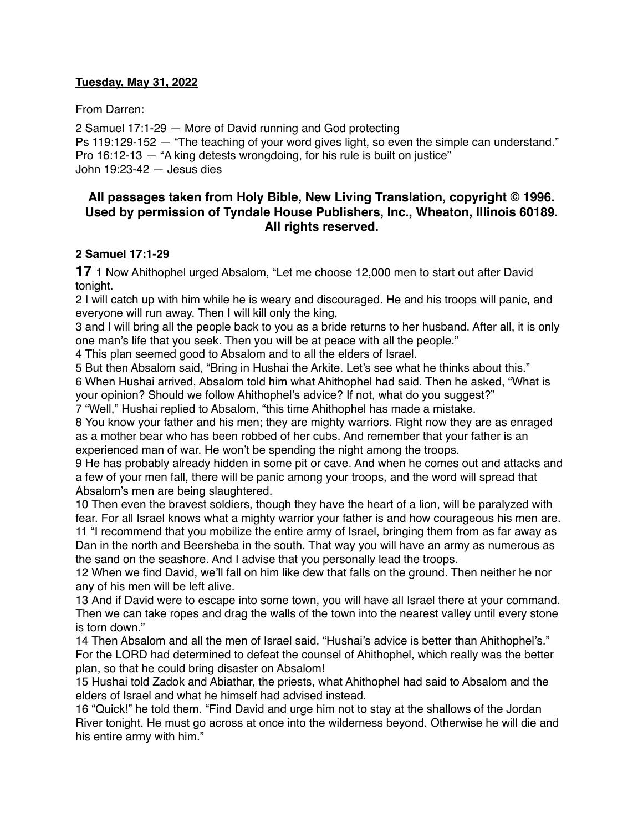#### **Tuesday, May 31, 2022**

From Darren:

2 Samuel 17:1-29 — More of David running and God protecting Ps 119:129-152 — "The teaching of your word gives light, so even the simple can understand." Pro 16:12-13 — "A king detests wrongdoing, for his rule is built on justice" John 19:23-42 — Jesus dies

# **All passages taken from Holy Bible, [New Living Translation](http://www.newlivingtranslation.com/), copyright © 1996. Used by permission of [Tyndale House Publishers](http://tyndale.com/), Inc., Wheaton, Illinois 60189. All rights reserved.**

### **2 Samuel 17:1-29**

**17** 1 Now Ahithophel urged Absalom, "Let me choose 12,000 men to start out after David tonight.

2 I will catch up with him while he is weary and discouraged. He and his troops will panic, and everyone will run away. Then I will kill only the king,

3 and I will bring all the people back to you as a bride returns to her husband. After all, it is only one man's life that you seek. Then you will be at peace with all the people."

4 This plan seemed good to Absalom and to all the elders of Israel.

5 But then Absalom said, "Bring in Hushai the Arkite. Let's see what he thinks about this." 6 When Hushai arrived, Absalom told him what Ahithophel had said. Then he asked, "What is your opinion? Should we follow Ahithophel's advice? If not, what do you suggest?"

7 "Well," Hushai replied to Absalom, "this time Ahithophel has made a mistake.

8 You know your father and his men; they are mighty warriors. Right now they are as enraged as a mother bear who has been robbed of her cubs. And remember that your father is an experienced man of war. He won't be spending the night among the troops.

9 He has probably already hidden in some pit or cave. And when he comes out and attacks and a few of your men fall, there will be panic among your troops, and the word will spread that Absalom's men are being slaughtered.

10 Then even the bravest soldiers, though they have the heart of a lion, will be paralyzed with fear. For all Israel knows what a mighty warrior your father is and how courageous his men are. 11 "I recommend that you mobilize the entire army of Israel, bringing them from as far away as

Dan in the north and Beersheba in the south. That way you will have an army as numerous as the sand on the seashore. And I advise that you personally lead the troops.

12 When we find David, we'll fall on him like dew that falls on the ground. Then neither he nor any of his men will be left alive.

13 And if David were to escape into some town, you will have all Israel there at your command. Then we can take ropes and drag the walls of the town into the nearest valley until every stone is torn down"

14 Then Absalom and all the men of Israel said, "Hushai's advice is better than Ahithophel's." For the LORD had determined to defeat the counsel of Ahithophel, which really was the better plan, so that he could bring disaster on Absalom!

15 Hushai told Zadok and Abiathar, the priests, what Ahithophel had said to Absalom and the elders of Israel and what he himself had advised instead.

16 "Quick!" he told them. "Find David and urge him not to stay at the shallows of the Jordan River tonight. He must go across at once into the wilderness beyond. Otherwise he will die and his entire army with him."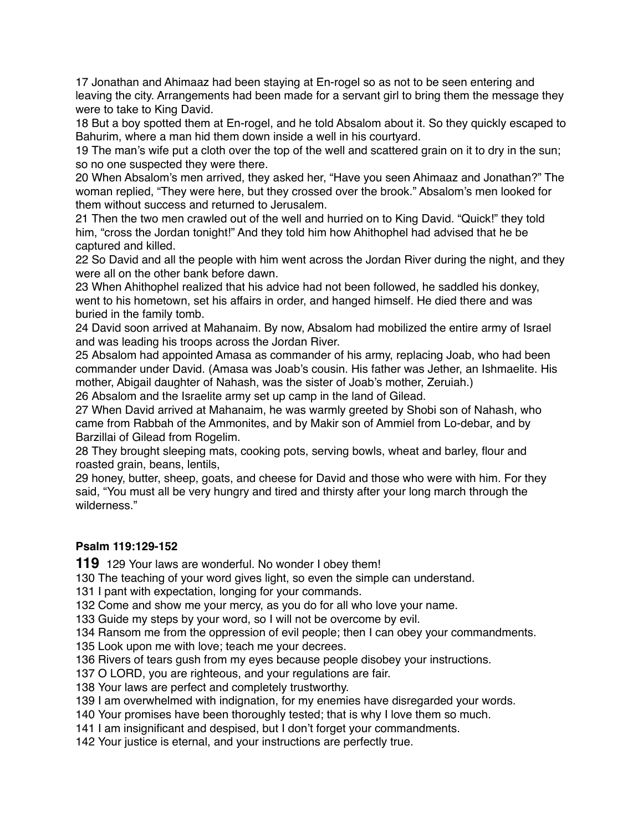17 Jonathan and Ahimaaz had been staying at En-rogel so as not to be seen entering and leaving the city. Arrangements had been made for a servant girl to bring them the message they were to take to King David.

18 But a boy spotted them at En-rogel, and he told Absalom about it. So they quickly escaped to Bahurim, where a man hid them down inside a well in his courtyard.

19 The man's wife put a cloth over the top of the well and scattered grain on it to dry in the sun; so no one suspected they were there.

20 When Absalom's men arrived, they asked her, "Have you seen Ahimaaz and Jonathan?" The woman replied, "They were here, but they crossed over the brook." Absalom's men looked for them without success and returned to Jerusalem.

21 Then the two men crawled out of the well and hurried on to King David. "Quick!" they told him, "cross the Jordan tonight!" And they told him how Ahithophel had advised that he be captured and killed.

22 So David and all the people with him went across the Jordan River during the night, and they were all on the other bank before dawn.

23 When Ahithophel realized that his advice had not been followed, he saddled his donkey, went to his hometown, set his affairs in order, and hanged himself. He died there and was buried in the family tomb.

24 David soon arrived at Mahanaim. By now, Absalom had mobilized the entire army of Israel and was leading his troops across the Jordan River.

25 Absalom had appointed Amasa as commander of his army, replacing Joab, who had been commander under David. (Amasa was Joab's cousin. His father was Jether, an Ishmaelite. His mother, Abigail daughter of Nahash, was the sister of Joab's mother, Zeruiah.) 26 Absalom and the Israelite army set up camp in the land of Gilead.

27 When David arrived at Mahanaim, he was warmly greeted by Shobi son of Nahash, who

came from Rabbah of the Ammonites, and by Makir son of Ammiel from Lo-debar, and by Barzillai of Gilead from Rogelim.

28 They brought sleeping mats, cooking pots, serving bowls, wheat and barley, flour and roasted grain, beans, lentils,

29 honey, butter, sheep, goats, and cheese for David and those who were with him. For they said, "You must all be very hungry and tired and thirsty after your long march through the wilderness."

# **Psalm 119:129-152**

**119** 129 Your laws are wonderful. No wonder I obey them!

130 The teaching of your word gives light, so even the simple can understand.

131 I pant with expectation, longing for your commands.

132 Come and show me your mercy, as you do for all who love your name.

133 Guide my steps by your word, so I will not be overcome by evil.

134 Ransom me from the oppression of evil people; then I can obey your commandments. 135 Look upon me with love; teach me your decrees.

136 Rivers of tears gush from my eyes because people disobey your instructions.

137 O LORD, you are righteous, and your regulations are fair.

138 Your laws are perfect and completely trustworthy.

139 I am overwhelmed with indignation, for my enemies have disregarded your words.

140 Your promises have been thoroughly tested; that is why I love them so much.

141 I am insignificant and despised, but I don't forget your commandments.

142 Your justice is eternal, and your instructions are perfectly true.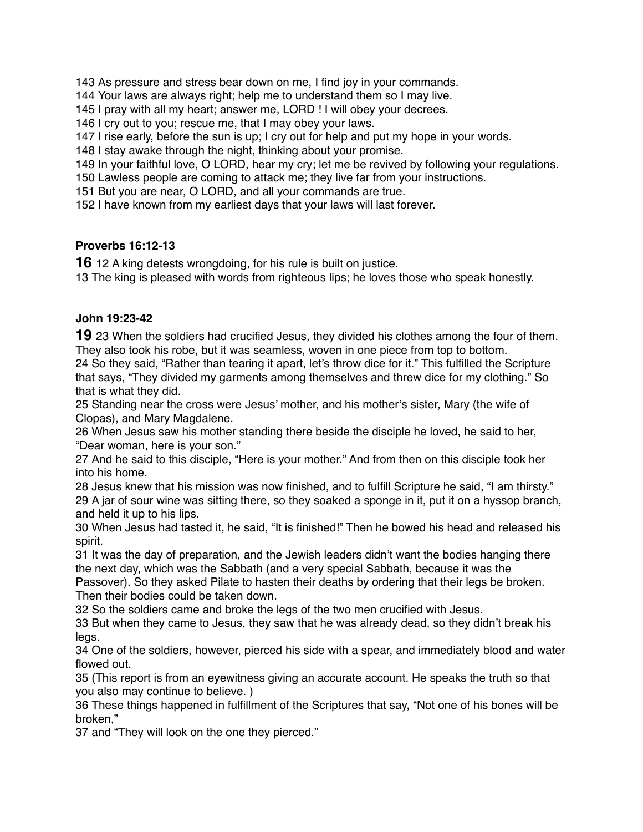As pressure and stress bear down on me, I find joy in your commands.

Your laws are always right; help me to understand them so I may live.

I pray with all my heart; answer me, LORD ! I will obey your decrees.

I cry out to you; rescue me, that I may obey your laws.

I rise early, before the sun is up; I cry out for help and put my hope in your words.

I stay awake through the night, thinking about your promise.

In your faithful love, O LORD, hear my cry; let me be revived by following your regulations.

Lawless people are coming to attack me; they live far from your instructions.

But you are near, O LORD, and all your commands are true.

I have known from my earliest days that your laws will last forever.

### **Proverbs 16:12-13**

12 A king detests wrongdoing, for his rule is built on justice.

The king is pleased with words from righteous lips; he loves those who speak honestly.

### **John 19:23-42**

23 When the soldiers had crucified Jesus, they divided his clothes among the four of them. They also took his robe, but it was seamless, woven in one piece from top to bottom.

 So they said, "Rather than tearing it apart, let's throw dice for it." This fulfilled the Scripture that says, "They divided my garments among themselves and threw dice for my clothing." So that is what they did.

 Standing near the cross were Jesus' mother, and his mother's sister, Mary (the wife of Clopas), and Mary Magdalene.

 When Jesus saw his mother standing there beside the disciple he loved, he said to her, "Dear woman, here is your son."

 And he said to this disciple, "Here is your mother." And from then on this disciple took her into his home.

 Jesus knew that his mission was now finished, and to fulfill Scripture he said, "I am thirsty." A jar of sour wine was sitting there, so they soaked a sponge in it, put it on a hyssop branch, and held it up to his lips.

 When Jesus had tasted it, he said, "It is finished!" Then he bowed his head and released his spirit.

 It was the day of preparation, and the Jewish leaders didn't want the bodies hanging there the next day, which was the Sabbath (and a very special Sabbath, because it was the

Passover). So they asked Pilate to hasten their deaths by ordering that their legs be broken. Then their bodies could be taken down.

So the soldiers came and broke the legs of the two men crucified with Jesus.

 But when they came to Jesus, they saw that he was already dead, so they didn't break his legs.

 One of the soldiers, however, pierced his side with a spear, and immediately blood and water flowed out.

 (This report is from an eyewitness giving an accurate account. He speaks the truth so that you also may continue to believe. )

 These things happened in fulfillment of the Scriptures that say, "Not one of his bones will be broken,"

and "They will look on the one they pierced."